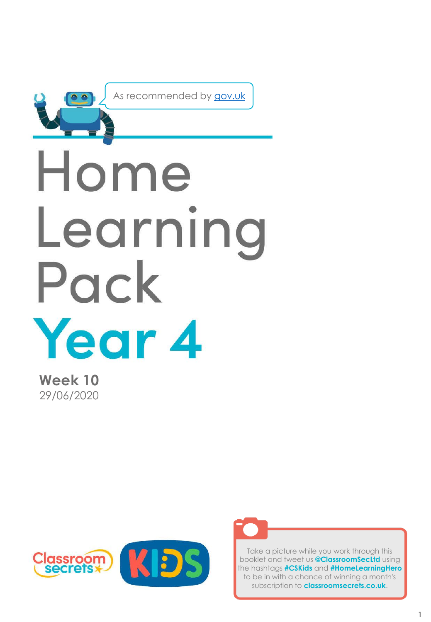

As recommended by [gov.uk](https://www.gov.uk/government/publications/coronavirus-covid-19-online-education-resources/coronavirus-covid-19-list-of-online-education-resources-for-home-education?)

# Home Learning Pack Year 4

**Week 10** 29/06/2020





Take a picture while you work through this booklet and tweet us **@ClassroomSecLtd** using the hashtags **#CSKids** and **#HomeLearningHero** to be in with a chance of winning a month's subscription to **classroomsecrets.co.uk**.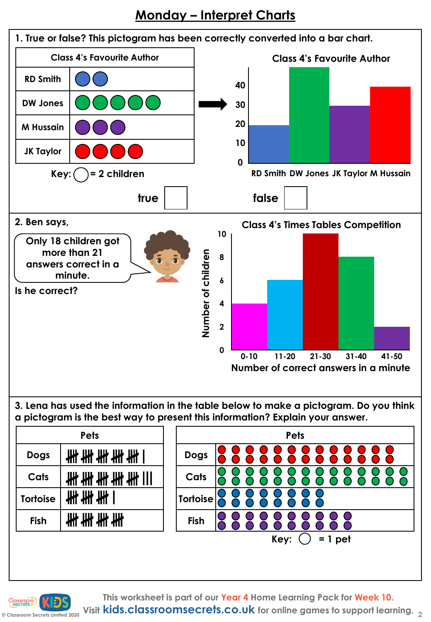## **Monday – Interpret Charts**



**This worksheet is part of our Year 4 Home Learning Pack for Week 10.**

**© Classroom Secrets Limited 2020 Visit kids.classroomsecrets.co.uk for online games to support learning. <sup>2</sup>**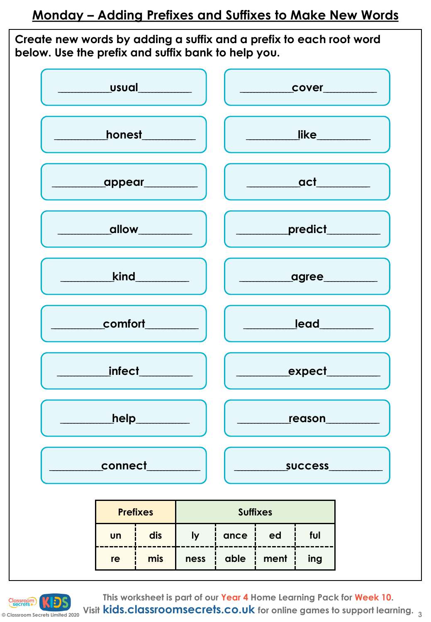**Create new words by adding a suffix and a prefix to each root word below. Use the prefix and suffix bank to help you.**

|                           | cover                           |
|---------------------------|---------------------------------|
| honest_________           |                                 |
| ________appear___________ | ____________act________         |
|                           | <u>__________predict_______</u> |
| kind                      | ______________agree___________  |
| $\_$ comfort $\_$         | <u> </u> ead________            |
| <i>infect</i>             |                                 |
| __help_______             | ____reason___                   |
| _connect_                 | success_________                |

| <b>Prefixes</b> |     | <b>Suffixes</b> |      |      |     |
|-----------------|-----|-----------------|------|------|-----|
| Un              | dis |                 | ance | ed   | ful |
| re              | mis | ness            | able | ment | ing |



**© Classroom Secrets Limited 2020 Visit kids.classroomsecrets.co.uk for online games to support learning. 3This worksheet is part of our Year 4 Home Learning Pack for Week 10.**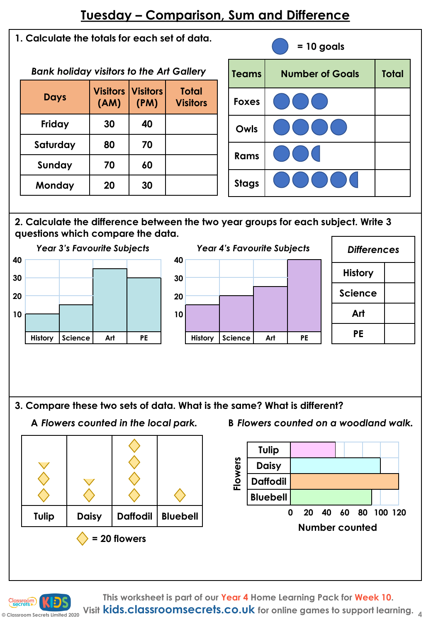## **Tuesday – Comparison, Sum and Difference**

**1. Calculate the totals for each set of data.**

*Bank holiday visitors to the Art Gallery*

| <b>Days</b> | (AM) | <b>Visitors Visitors</b><br>(PM) | <b>Total</b><br><b>Visitors</b> |
|-------------|------|----------------------------------|---------------------------------|
| Friday      | 30   | 40                               |                                 |
| Saturday    | 80   | 70                               |                                 |
| Sunday      | 70   | 60                               |                                 |
| Monday      | 20   | 30                               |                                 |



#### **2. Calculate the difference between the two year groups for each subject. Write 3 questions which compare the data.**



|    |         |         | <b>Year 4's Favourite Subjects</b> |    |
|----|---------|---------|------------------------------------|----|
| 40 |         |         |                                    |    |
| 30 |         |         |                                    |    |
| 20 |         |         |                                    |    |
| 10 |         |         |                                    |    |
|    |         |         |                                    |    |
|    | History | Science | Art                                | РE |

| <b>Differences</b> |  |
|--------------------|--|
| <b>History</b>     |  |
| <b>Science</b>     |  |
| Art                |  |
| PE                 |  |

**3. Compare these two sets of data. What is the same? What is different?** 



A Flowers counted in the local park. B Flowers counted on a woodland walk.



**This worksheet is part of our Year 4 Home Learning Pack for Week 10.**

**© Classroom Secrets Limited 2020 Visit kids.classroomsecrets.co.uk for online games to support learning. <sup>4</sup>**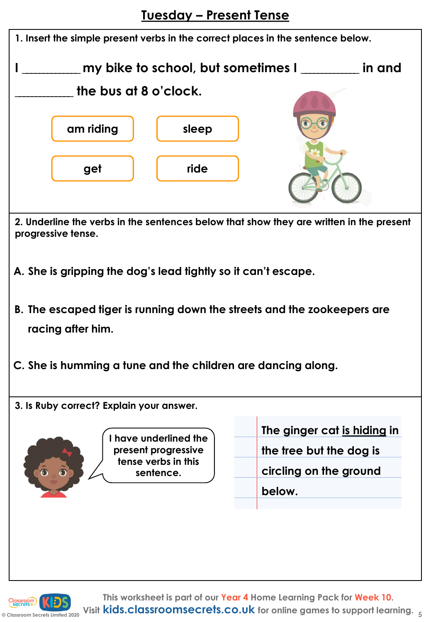**Tuesday – Present Tense**



**This worksheet is part of our Year 4 Home Learning Pack for Week 10. Visit kids.classroomsecrets.co.uk for online games to support learning. 5**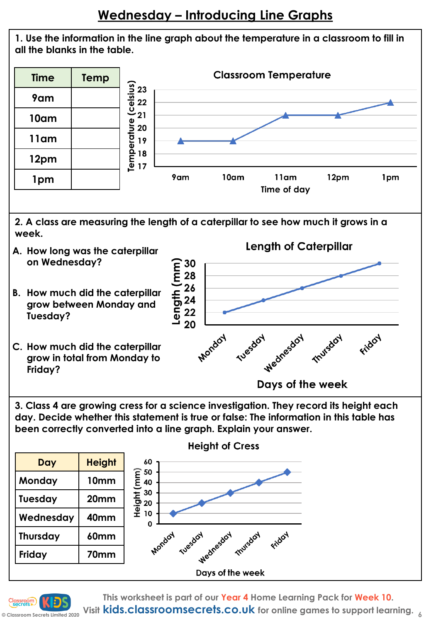



**3. Class 4 are growing cress for a science investigation. They record its height each day. Decide whether this statement is true or false: The information in this table has been correctly converted into a line graph. Explain your answer.**





**This worksheet is part of our Year 4 Home Learning Pack for Week 10.**

**Visit kids.classroomsecrets.co.uk for online games to support learning. <sup>6</sup>**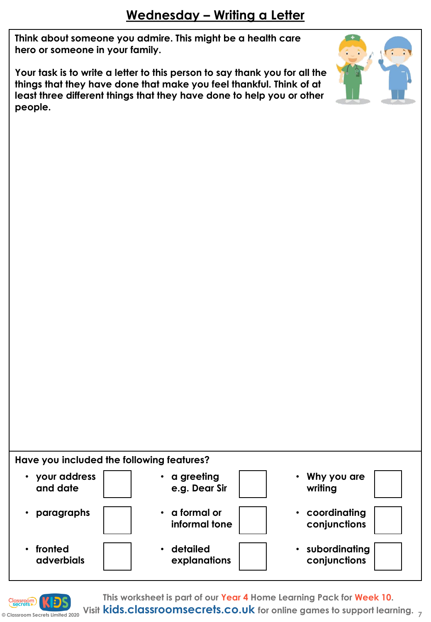**Think about someone you admire. This might be a health care hero or someone in your family.** 

**Your task is to write a letter to this person to say thank you for all the things that they have done that make you feel thankful. Think of at least three different things that they have done to help you or other people.** 



**Have you included the following features?**





**This worksheet is part of our Year 4 Home Learning Pack for Week 10.**

**© Classroom Secrets Limited 2020 Visit kids.classroomsecrets.co.uk for online games to support learning. <sup>7</sup>**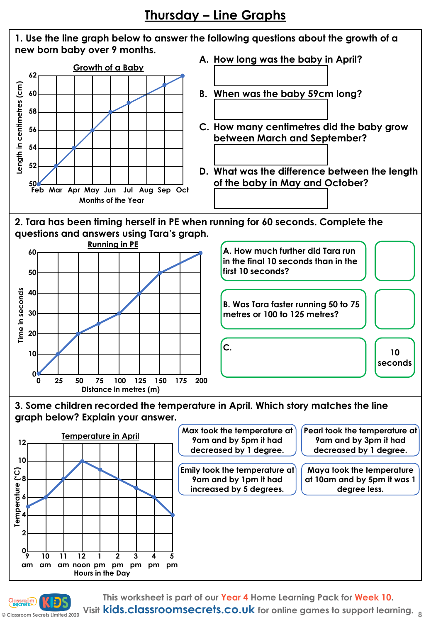

**This worksheet is part of our Year 4 Home Learning Pack for Week 10.** Visit **kids.classroomsecrets.co.uk** for online games to support learning.

**0 9**

**10**

**© Classroom Secrets Limited 2020**

**11**

am am am noon pm pm pm pm

**1**

**Hours in the Day**

**2**

**3**

**4**

**5 pm**

**12**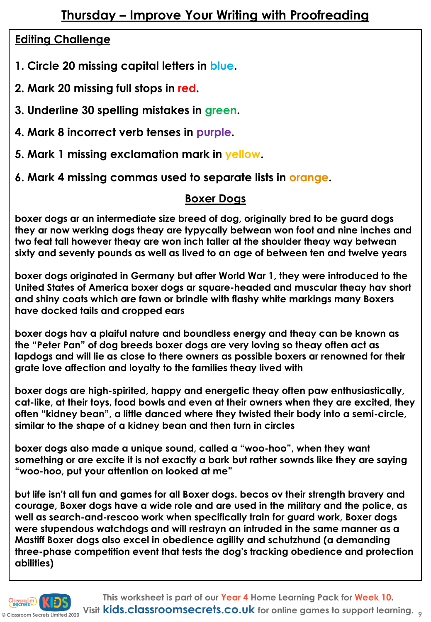## **Editing Challenge**

- **1. Circle 20 missing capital letters in blue.**
- **2. Mark 20 missing full stops in red.**
- **3. Underline 30 spelling mistakes in green.**
- **4. Mark 8 incorrect verb tenses in purple.**
- **5. Mark 1 missing exclamation mark in yellow.**
- **6. Mark 4 missing commas used to separate lists in orange.**

## **Boxer Dogs**

**boxer dogs ar an intermediate size breed of dog, originally bred to be guard dogs they ar now werking dogs theay are typycally betwean won foot and nine inches and two feat tall however theay are won inch taller at the shoulder theay way betwean sixty and seventy pounds as well as lived to an age of between ten and twelve years**

**boxer dogs originated in Germany but after World War 1, they were introduced to the United States of America boxer dogs ar square-headed and muscular theay hav short and shiny coats which are fawn or brindle with flashy white markings many Boxers have docked tails and cropped ears**

**boxer dogs hav a plaiful nature and boundless energy and theay can be known as the "Peter Pan" of dog breeds boxer dogs are very loving so theay often act as lapdogs and will lie as close to there owners as possible boxers ar renowned for their grate love affection and loyalty to the families theay lived with** 

**boxer dogs are high-spirited, happy and energetic theay often paw enthusiastically, cat-like, at their toys, food bowls and even at their owners when they are excited, they often "kidney bean", a little danced where they twisted their body into a semi-circle, similar to the shape of a kidney bean and then turn in circles** 

**boxer dogs also made a unique sound, called a "woo-hoo", when they want something or are excite it is not exactly a bark but rather sownds like they are saying "woo-hoo, put your attention on looked at me"** 

**but life isn't all fun and games for all Boxer dogs. becos ov their strength bravery and courage, Boxer dogs have a wide role and are used in the military and the police, as well as search-and-rescoo work when specifically train for guard work, Boxer dogs were stupendous watchdogs and will restrayn an intruded in the same manner as a Mastiff Boxer dogs also excel in obedience agility and schutzhund (a demanding three-phase competition event that tests the dog's tracking obedience and protection abilities)**

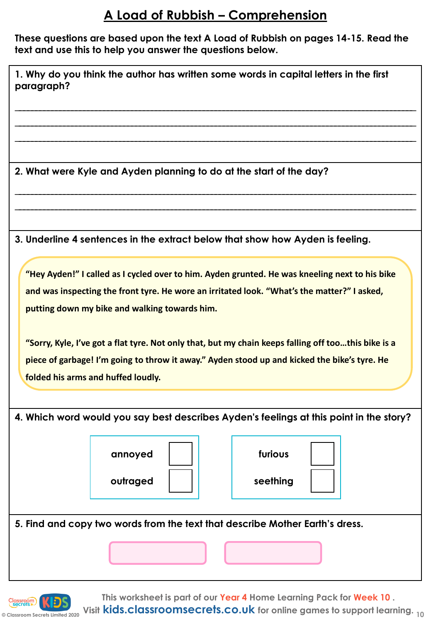## **A Load of Rubbish – Comprehension**

**These questions are based upon the text A Load of Rubbish on pages 14-15. Read the text and use this to help you answer the questions below.** 

| 2. What were Kyle and Ayden planning to do at the start of the day?                                                                                                                                                                                                                                                                                                                                                                                                                         |
|---------------------------------------------------------------------------------------------------------------------------------------------------------------------------------------------------------------------------------------------------------------------------------------------------------------------------------------------------------------------------------------------------------------------------------------------------------------------------------------------|
| 3. Underline 4 sentences in the extract below that show how Ayden is feeling.                                                                                                                                                                                                                                                                                                                                                                                                               |
| "Hey Ayden!" I called as I cycled over to him. Ayden grunted. He was kneeling next to his bike<br>and was inspecting the front tyre. He wore an irritated look. "What's the matter?" I asked,<br>putting down my bike and walking towards him.<br>"Sorry, Kyle, I've got a flat tyre. Not only that, but my chain keeps falling off toothis bike is a<br>piece of garbage! I'm going to throw it away." Ayden stood up and kicked the bike's tyre. He<br>folded his arms and huffed loudly. |
| 4. Which word would you say best describes Ayden's feelings at this point in the story?<br>furious<br>annoyed<br>outraged<br>seething                                                                                                                                                                                                                                                                                                                                                       |
| 5. Find and copy two words from the text that describe Mother Earth's dress.                                                                                                                                                                                                                                                                                                                                                                                                                |

**© Classroom Secrets Limited 2020 10 Visit kids.classroomsecrets.co.uk for online games to support learning.**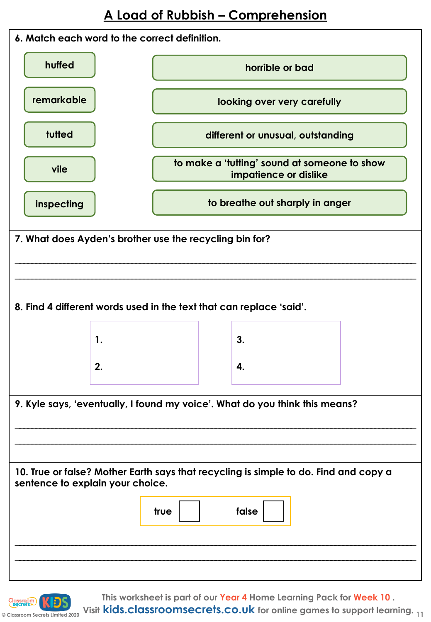

**This worksheet is part of our Year 4 Home Learning Pack for Week 10 .**

**Consumed Apple 2020 11 Visit kids.classroomsecrets.co.uk** for online games to support learning. <sub>11</sub>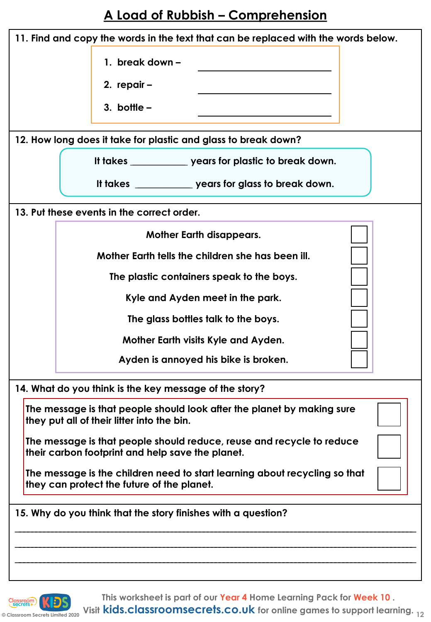# **A Load of Rubbish – Comprehension**

| 11. Find and copy the words in the text that can be replaced with the words below.                                        |
|---------------------------------------------------------------------------------------------------------------------------|
| 1. break down -                                                                                                           |
| 2. repair -                                                                                                               |
| 3. bottle $-$                                                                                                             |
|                                                                                                                           |
| 12. How long does it take for plastic and glass to break down?                                                            |
| It takes ____________________ years for plastic to break down.                                                            |
| It takes _______________ years for glass to break down.                                                                   |
| 13. Put these events in the correct order.                                                                                |
| <b>Mother Earth disappears.</b>                                                                                           |
| Mother Earth tells the children she has been ill.                                                                         |
| The plastic containers speak to the boys.                                                                                 |
| Kyle and Ayden meet in the park.                                                                                          |
| The glass bottles talk to the boys.                                                                                       |
| Mother Earth visits Kyle and Ayden.                                                                                       |
| Ayden is annoyed his bike is broken.                                                                                      |
| 14. What do you think is the key message of the story?                                                                    |
| The message is that people should look after the planet by making sure<br>they put all of their litter into the bin.      |
| The message is that people should reduce, reuse and recycle to reduce<br>their carbon footprint and help save the planet. |
| The message is the children need to start learning about recycling so that<br>they can protect the future of the planet.  |
| 15. Why do you think that the story finishes with a question?                                                             |
|                                                                                                                           |
|                                                                                                                           |
|                                                                                                                           |



**This worksheet is part of our Year 4 Home Learning Pack for Week 10 .**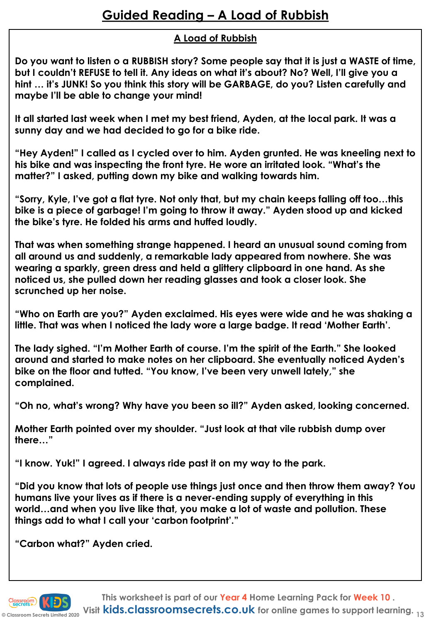#### **A Load of Rubbish**

**Do you want to listen o a RUBBISH story? Some people say that it is just a WASTE of time, but I couldn't REFUSE to tell it. Any ideas on what it's about? No? Well, I'll give you a hint … it's JUNK! So you think this story will be GARBAGE, do you? Listen carefully and maybe I'll be able to change your mind!**

**It all started last week when I met my best friend, Ayden, at the local park. It was a sunny day and we had decided to go for a bike ride.** 

**"Hey Ayden!" I called as I cycled over to him. Ayden grunted. He was kneeling next to his bike and was inspecting the front tyre. He wore an irritated look. "What's the matter?" I asked, putting down my bike and walking towards him.** 

**"Sorry, Kyle, I've got a flat tyre. Not only that, but my chain keeps falling off too…this bike is a piece of garbage! I'm going to throw it away." Ayden stood up and kicked the bike's tyre. He folded his arms and huffed loudly.**

**That was when something strange happened. I heard an unusual sound coming from all around us and suddenly, a remarkable lady appeared from nowhere. She was wearing a sparkly, green dress and held a glittery clipboard in one hand. As she noticed us, she pulled down her reading glasses and took a closer look. She scrunched up her noise.**

**"Who on Earth are you?" Ayden exclaimed. His eyes were wide and he was shaking a little. That was when I noticed the lady wore a large badge. It read 'Mother Earth'.**

**The lady sighed. "I'm Mother Earth of course. I'm the spirit of the Earth." She looked around and started to make notes on her clipboard. She eventually noticed Ayden's bike on the floor and tutted. "You know, I've been very unwell lately," she complained.** 

**"Oh no, what's wrong? Why have you been so ill?" Ayden asked, looking concerned.** 

**Mother Earth pointed over my shoulder. "Just look at that vile rubbish dump over there…"**

**"I know. Yuk!" I agreed. I always ride past it on my way to the park.**

**"Did you know that lots of people use things just once and then throw them away? You humans live your lives as if there is a never-ending supply of everything in this world…and when you live like that, you make a lot of waste and pollution. These things add to what I call your 'carbon footprint'."**

**"Carbon what?" Ayden cried.**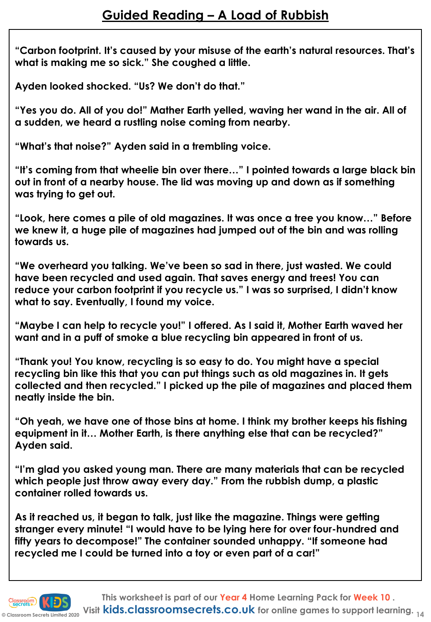**"Carbon footprint. It's caused by your misuse of the earth's natural resources. That's what is making me so sick." She coughed a little.**

**Ayden looked shocked. "Us? We don't do that."**

**"Yes you do. All of you do!" Mather Earth yelled, waving her wand in the air. All of a sudden, we heard a rustling noise coming from nearby.**

**"What's that noise?" Ayden said in a trembling voice.**

**"It's coming from that wheelie bin over there…" I pointed towards a large black bin out in front of a nearby house. The lid was moving up and down as if something was trying to get out.**

**"Look, here comes a pile of old magazines. It was once a tree you know…" Before we knew it, a huge pile of magazines had jumped out of the bin and was rolling towards us.**

**"We overheard you talking. We've been so sad in there, just wasted. We could have been recycled and used again. That saves energy and trees! You can reduce your carbon footprint if you recycle us." I was so surprised, I didn't know what to say. Eventually, I found my voice.**

**"Maybe I can help to recycle you!" I offered. As I said it, Mother Earth waved her want and in a puff of smoke a blue recycling bin appeared in front of us.** 

**"Thank you! You know, recycling is so easy to do. You might have a special recycling bin like this that you can put things such as old magazines in. It gets collected and then recycled." I picked up the pile of magazines and placed them neatly inside the bin.**

**"Oh yeah, we have one of those bins at home. I think my brother keeps his fishing equipment in it… Mother Earth, is there anything else that can be recycled?" Ayden said.**

**"I'm glad you asked young man. There are many materials that can be recycled which people just throw away every day." From the rubbish dump, a plastic container rolled towards us.**

**As it reached us, it began to talk, just like the magazine. Things were getting stranger every minute! "I would have to be lying here for over four-hundred and fifty years to decompose!" The container sounded unhappy. "If someone had recycled me I could be turned into a toy or even part of a car!"**